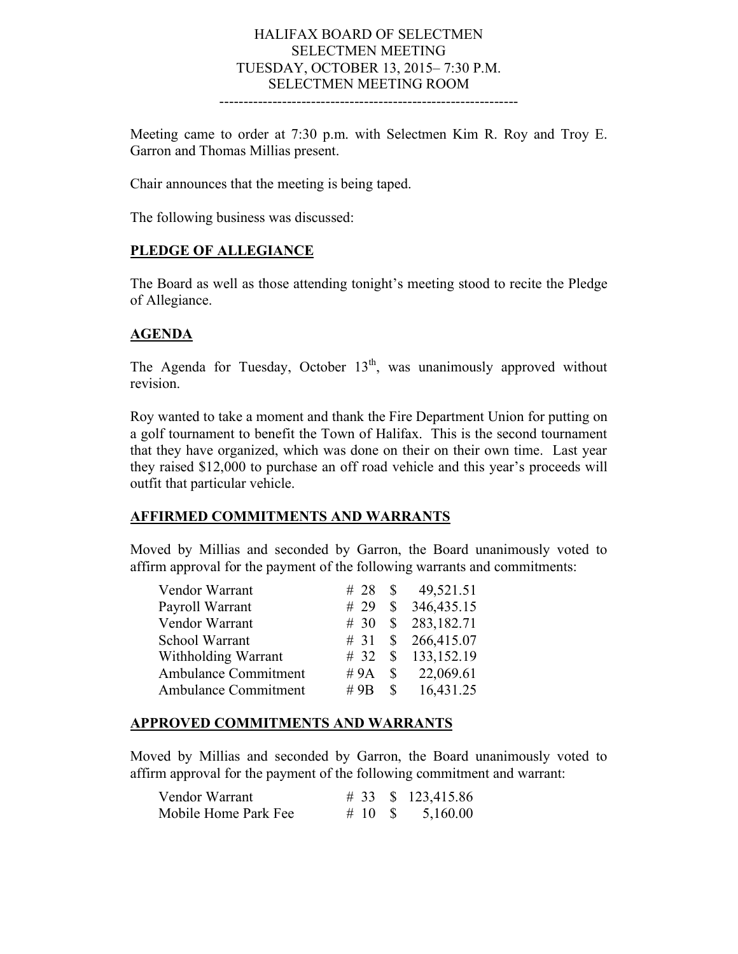#### HALIFAX BOARD OF SELECTMEN SELECTMEN MEETING TUESDAY, OCTOBER 13, 2015– 7:30 P.M. SELECTMEN MEETING ROOM --------------------------------------------------------------

Meeting came to order at 7:30 p.m. with Selectmen Kim R. Roy and Troy E. Garron and Thomas Millias present.

Chair announces that the meeting is being taped.

The following business was discussed:

### **PLEDGE OF ALLEGIANCE**

The Board as well as those attending tonight's meeting stood to recite the Pledge of Allegiance.

## **AGENDA**

The Agenda for Tuesday, October  $13<sup>th</sup>$ , was unanimously approved without revision.

Roy wanted to take a moment and thank the Fire Department Union for putting on a golf tournament to benefit the Town of Halifax. This is the second tournament that they have organized, which was done on their on their own time. Last year they raised \$12,000 to purchase an off road vehicle and this year's proceeds will outfit that particular vehicle.

### **AFFIRMED COMMITMENTS AND WARRANTS**

Moved by Millias and seconded by Garron, the Board unanimously voted to affirm approval for the payment of the following warrants and commitments:

| Vendor Warrant       |        |               | 49,521.51                       |
|----------------------|--------|---------------|---------------------------------|
| Payroll Warrant      |        |               | # 29 $\text{\$}$ 346,435.15     |
| Vendor Warrant       |        |               | # 30 $\,$ \$ 283,182.71         |
| School Warrant       |        |               | # 31 \ \ $\frac{1}{266,415.07}$ |
| Withholding Warrant  | #32    |               | \$133,152.19                    |
| Ambulance Commitment | #9 $A$ | $\mathbb{S}$  | 22,069.61                       |
| Ambulance Commitment | # $9B$ | $\mathcal{S}$ | 16,431.25                       |

### **APPROVED COMMITMENTS AND WARRANTS**

Moved by Millias and seconded by Garron, the Board unanimously voted to affirm approval for the payment of the following commitment and warrant:

| Vendor Warrant       |            | # 33 $\frac{123,415.86}{ }$ |
|----------------------|------------|-----------------------------|
| Mobile Home Park Fee | $\#$ 10 \$ | 5,160.00                    |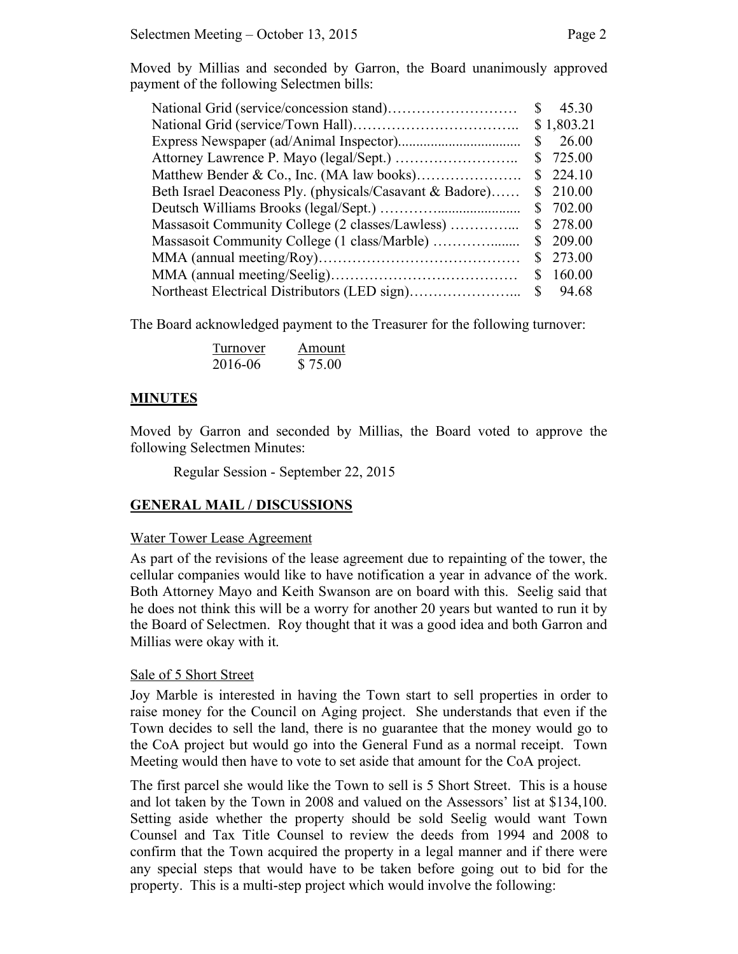Moved by Millias and seconded by Garron, the Board unanimously approved payment of the following Selectmen bills:

|                                                          | <sup>S</sup> | 45.30      |
|----------------------------------------------------------|--------------|------------|
|                                                          |              | \$1,803.21 |
|                                                          | $\mathbb{S}$ | 26.00      |
|                                                          |              | \$725.00   |
|                                                          |              | \$224.10   |
| Beth Israel Deaconess Ply. (physicals/Casavant & Badore) |              | \$210.00   |
|                                                          |              | \$702.00   |
| Massasoit Community College (2 classes/Lawless)          |              | \$ 278.00  |
|                                                          |              | \$209.00   |
|                                                          | S.           | 273.00     |
|                                                          |              | 160.00     |
|                                                          |              |            |

The Board acknowledged payment to the Treasurer for the following turnover:

| Turnover | Amount  |
|----------|---------|
| 2016-06  | \$75.00 |

### **MINUTES**

Moved by Garron and seconded by Millias, the Board voted to approve the following Selectmen Minutes:

Regular Session - September 22, 2015

### **GENERAL MAIL / DISCUSSIONS**

#### Water Tower Lease Agreement

As part of the revisions of the lease agreement due to repainting of the tower, the cellular companies would like to have notification a year in advance of the work. Both Attorney Mayo and Keith Swanson are on board with this. Seelig said that he does not think this will be a worry for another 20 years but wanted to run it by the Board of Selectmen. Roy thought that it was a good idea and both Garron and Millias were okay with it.

#### Sale of 5 Short Street

Joy Marble is interested in having the Town start to sell properties in order to raise money for the Council on Aging project. She understands that even if the Town decides to sell the land, there is no guarantee that the money would go to the CoA project but would go into the General Fund as a normal receipt. Town Meeting would then have to vote to set aside that amount for the CoA project.

The first parcel she would like the Town to sell is 5 Short Street. This is a house and lot taken by the Town in 2008 and valued on the Assessors' list at \$134,100. Setting aside whether the property should be sold Seelig would want Town Counsel and Tax Title Counsel to review the deeds from 1994 and 2008 to confirm that the Town acquired the property in a legal manner and if there were any special steps that would have to be taken before going out to bid for the property. This is a multi-step project which would involve the following: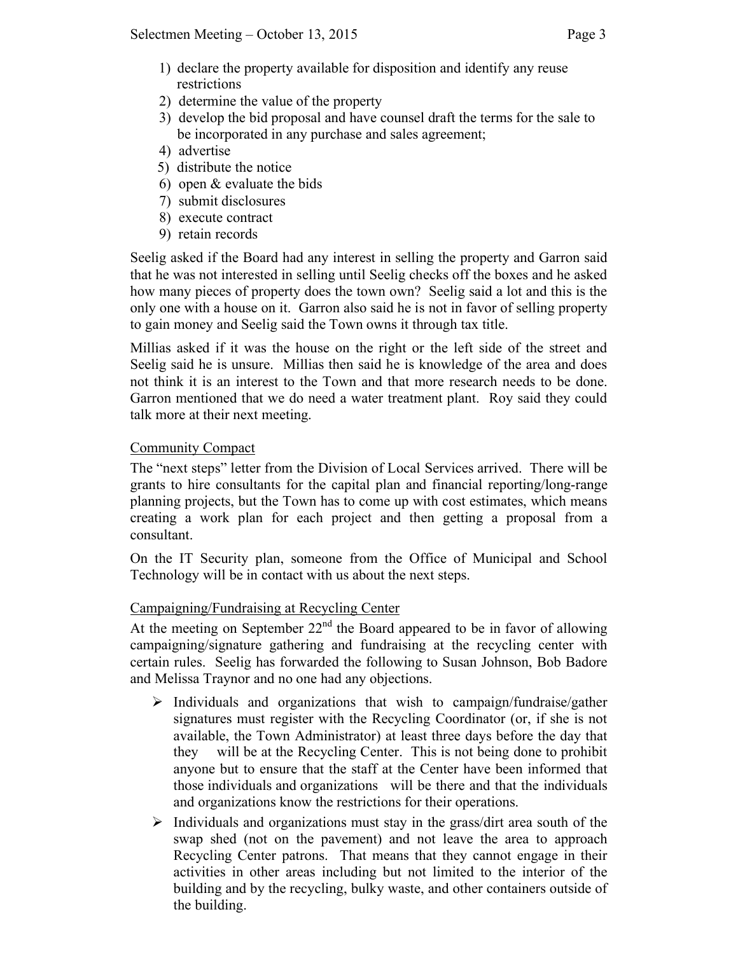- 1) declare the property available for disposition and identify any reuse restrictions
- 2) determine the value of the property
- 3) develop the bid proposal and have counsel draft the terms for the sale to be incorporated in any purchase and sales agreement;
- 4) advertise
- 5) distribute the notice
- 6) open & evaluate the bids
- 7) submit disclosures
- 8) execute contract
- 9) retain records

Seelig asked if the Board had any interest in selling the property and Garron said that he was not interested in selling until Seelig checks off the boxes and he asked how many pieces of property does the town own? Seelig said a lot and this is the only one with a house on it. Garron also said he is not in favor of selling property to gain money and Seelig said the Town owns it through tax title.

Millias asked if it was the house on the right or the left side of the street and Seelig said he is unsure. Millias then said he is knowledge of the area and does not think it is an interest to the Town and that more research needs to be done. Garron mentioned that we do need a water treatment plant. Roy said they could talk more at their next meeting.

# Community Compact

The "next steps" letter from the Division of Local Services arrived. There will be grants to hire consultants for the capital plan and financial reporting/long-range planning projects, but the Town has to come up with cost estimates, which means creating a work plan for each project and then getting a proposal from a consultant.

On the IT Security plan, someone from the Office of Municipal and School Technology will be in contact with us about the next steps.

# Campaigning/Fundraising at Recycling Center

At the meeting on September  $22<sup>nd</sup>$  the Board appeared to be in favor of allowing campaigning/signature gathering and fundraising at the recycling center with certain rules. Seelig has forwarded the following to Susan Johnson, Bob Badore and Melissa Traynor and no one had any objections.

- $\triangleright$  Individuals and organizations that wish to campaign/fundraise/gather signatures must register with the Recycling Coordinator (or, if she is not available, the Town Administrator) at least three days before the day that they will be at the Recycling Center. This is not being done to prohibit anyone but to ensure that the staff at the Center have been informed that those individuals and organizations will be there and that the individuals and organizations know the restrictions for their operations.
- $\triangleright$  Individuals and organizations must stay in the grass/dirt area south of the swap shed (not on the pavement) and not leave the area to approach Recycling Center patrons. That means that they cannot engage in their activities in other areas including but not limited to the interior of the building and by the recycling, bulky waste, and other containers outside of the building.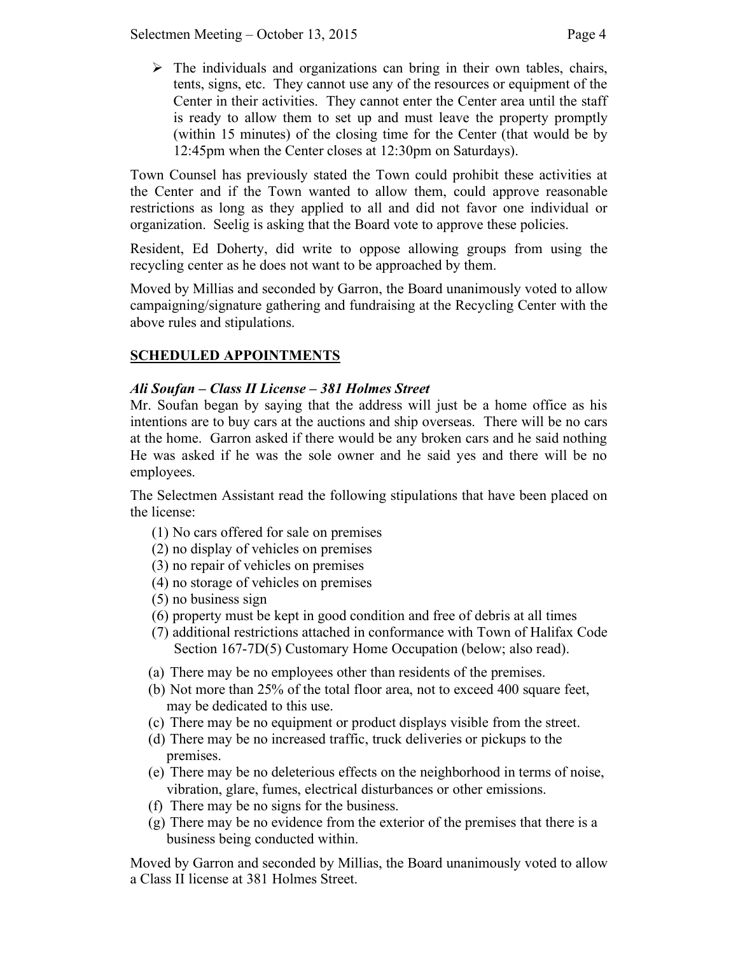$\triangleright$  The individuals and organizations can bring in their own tables, chairs, tents, signs, etc. They cannot use any of the resources or equipment of the Center in their activities. They cannot enter the Center area until the staff is ready to allow them to set up and must leave the property promptly (within 15 minutes) of the closing time for the Center (that would be by 12:45pm when the Center closes at 12:30pm on Saturdays).

Town Counsel has previously stated the Town could prohibit these activities at the Center and if the Town wanted to allow them, could approve reasonable restrictions as long as they applied to all and did not favor one individual or organization. Seelig is asking that the Board vote to approve these policies.

Resident, Ed Doherty, did write to oppose allowing groups from using the recycling center as he does not want to be approached by them.

Moved by Millias and seconded by Garron, the Board unanimously voted to allow campaigning/signature gathering and fundraising at the Recycling Center with the above rules and stipulations.

# **SCHEDULED APPOINTMENTS**

# *Ali Soufan – Class II License – 381 Holmes Street*

Mr. Soufan began by saying that the address will just be a home office as his intentions are to buy cars at the auctions and ship overseas. There will be no cars at the home. Garron asked if there would be any broken cars and he said nothing He was asked if he was the sole owner and he said yes and there will be no employees.

The Selectmen Assistant read the following stipulations that have been placed on the license:

- (1) No cars offered for sale on premises
- (2) no display of vehicles on premises
- (3) no repair of vehicles on premises
- (4) no storage of vehicles on premises
- (5) no business sign
- (6) property must be kept in good condition and free of debris at all times
- (7) additional restrictions attached in conformance with Town of Halifax Code Section 167-7D(5) Customary Home Occupation (below; also read).
- (a) There may be no employees other than residents of the premises.
- (b) Not more than 25% of the total floor area, not to exceed 400 square feet, may be dedicated to this use.
- (c) There may be no equipment or product displays visible from the street.
- (d) There may be no increased traffic, truck deliveries or pickups to the premises.
- (e) There may be no deleterious effects on the neighborhood in terms of noise, vibration, glare, fumes, electrical disturbances or other emissions.
- (f) There may be no signs for the business.
- (g) There may be no evidence from the exterior of the premises that there is a business being conducted within.

Moved by Garron and seconded by Millias, the Board unanimously voted to allow a Class II license at 381 Holmes Street.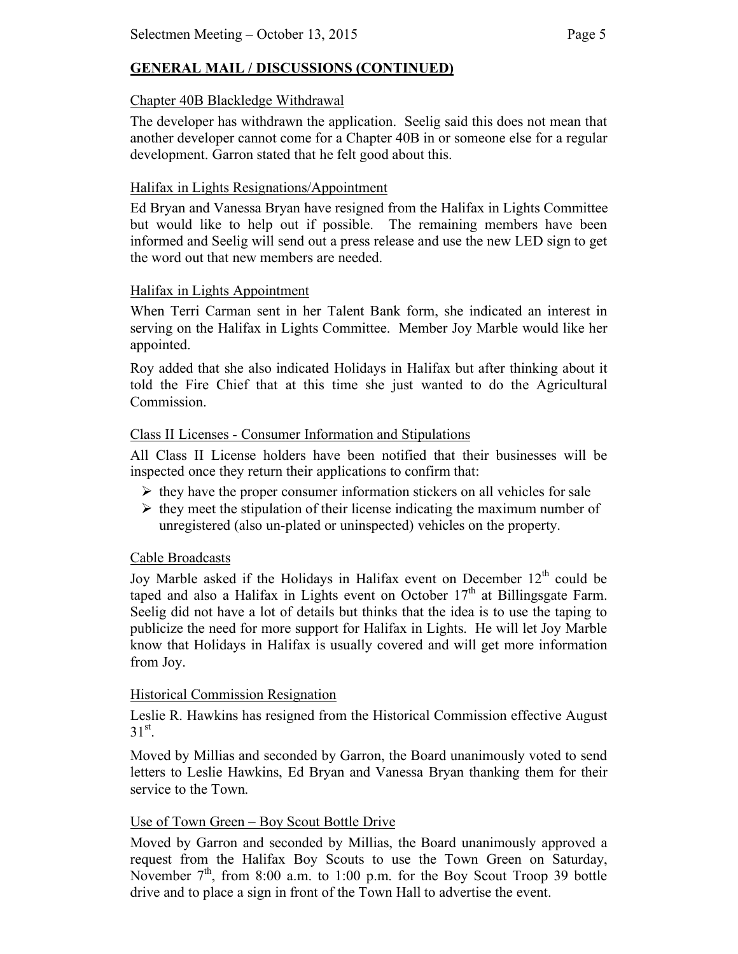# **GENERAL MAIL / DISCUSSIONS (CONTINUED)**

## Chapter 40B Blackledge Withdrawal

The developer has withdrawn the application. Seelig said this does not mean that another developer cannot come for a Chapter 40B in or someone else for a regular development. Garron stated that he felt good about this.

# Halifax in Lights Resignations/Appointment

Ed Bryan and Vanessa Bryan have resigned from the Halifax in Lights Committee but would like to help out if possible. The remaining members have been informed and Seelig will send out a press release and use the new LED sign to get the word out that new members are needed.

# Halifax in Lights Appointment

When Terri Carman sent in her Talent Bank form, she indicated an interest in serving on the Halifax in Lights Committee. Member Joy Marble would like her appointed.

Roy added that she also indicated Holidays in Halifax but after thinking about it told the Fire Chief that at this time she just wanted to do the Agricultural **Commission** 

# Class II Licenses - Consumer Information and Stipulations

All Class II License holders have been notified that their businesses will be inspected once they return their applications to confirm that:

- $\triangleright$  they have the proper consumer information stickers on all vehicles for sale
- $\triangleright$  they meet the stipulation of their license indicating the maximum number of unregistered (also un-plated or uninspected) vehicles on the property.

# Cable Broadcasts

Joy Marble asked if the Holidays in Halifax event on December  $12<sup>th</sup>$  could be taped and also a Halifax in Lights event on October  $17<sup>th</sup>$  at Billingsgate Farm. Seelig did not have a lot of details but thinks that the idea is to use the taping to publicize the need for more support for Halifax in Lights. He will let Joy Marble know that Holidays in Halifax is usually covered and will get more information from Joy.

### Historical Commission Resignation

Leslie R. Hawkins has resigned from the Historical Commission effective August  $31^{st}$ .

Moved by Millias and seconded by Garron, the Board unanimously voted to send letters to Leslie Hawkins, Ed Bryan and Vanessa Bryan thanking them for their service to the Town.

# Use of Town Green – Boy Scout Bottle Drive

Moved by Garron and seconded by Millias, the Board unanimously approved a request from the Halifax Boy Scouts to use the Town Green on Saturday, November  $7<sup>th</sup>$ , from 8:00 a.m. to 1:00 p.m. for the Boy Scout Troop 39 bottle drive and to place a sign in front of the Town Hall to advertise the event.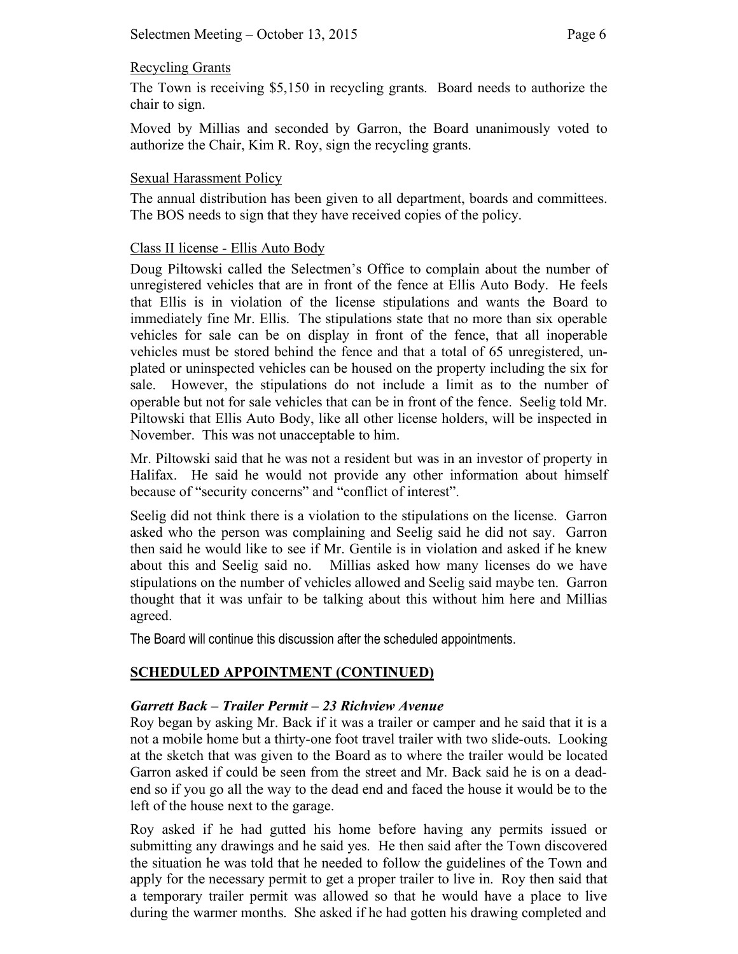### Recycling Grants

The Town is receiving \$5,150 in recycling grants. Board needs to authorize the chair to sign.

Moved by Millias and seconded by Garron, the Board unanimously voted to authorize the Chair, Kim R. Roy, sign the recycling grants.

## Sexual Harassment Policy

The annual distribution has been given to all department, boards and committees. The BOS needs to sign that they have received copies of the policy.

## Class II license - Ellis Auto Body

Doug Piltowski called the Selectmen's Office to complain about the number of unregistered vehicles that are in front of the fence at Ellis Auto Body. He feels that Ellis is in violation of the license stipulations and wants the Board to immediately fine Mr. Ellis. The stipulations state that no more than six operable vehicles for sale can be on display in front of the fence, that all inoperable vehicles must be stored behind the fence and that a total of 65 unregistered, unplated or uninspected vehicles can be housed on the property including the six for sale. However, the stipulations do not include a limit as to the number of operable but not for sale vehicles that can be in front of the fence. Seelig told Mr. Piltowski that Ellis Auto Body, like all other license holders, will be inspected in November. This was not unacceptable to him.

Mr. Piltowski said that he was not a resident but was in an investor of property in Halifax. He said he would not provide any other information about himself because of "security concerns" and "conflict of interest".

Seelig did not think there is a violation to the stipulations on the license. Garron asked who the person was complaining and Seelig said he did not say. Garron then said he would like to see if Mr. Gentile is in violation and asked if he knew about this and Seelig said no. Millias asked how many licenses do we have stipulations on the number of vehicles allowed and Seelig said maybe ten. Garron thought that it was unfair to be talking about this without him here and Millias agreed.

The Board will continue this discussion after the scheduled appointments.

# **SCHEDULED APPOINTMENT (CONTINUED)**

# *Garrett Back – Trailer Permit – 23 Richview Avenue*

Roy began by asking Mr. Back if it was a trailer or camper and he said that it is a not a mobile home but a thirty-one foot travel trailer with two slide-outs. Looking at the sketch that was given to the Board as to where the trailer would be located Garron asked if could be seen from the street and Mr. Back said he is on a deadend so if you go all the way to the dead end and faced the house it would be to the left of the house next to the garage.

Roy asked if he had gutted his home before having any permits issued or submitting any drawings and he said yes. He then said after the Town discovered the situation he was told that he needed to follow the guidelines of the Town and apply for the necessary permit to get a proper trailer to live in. Roy then said that a temporary trailer permit was allowed so that he would have a place to live during the warmer months. She asked if he had gotten his drawing completed and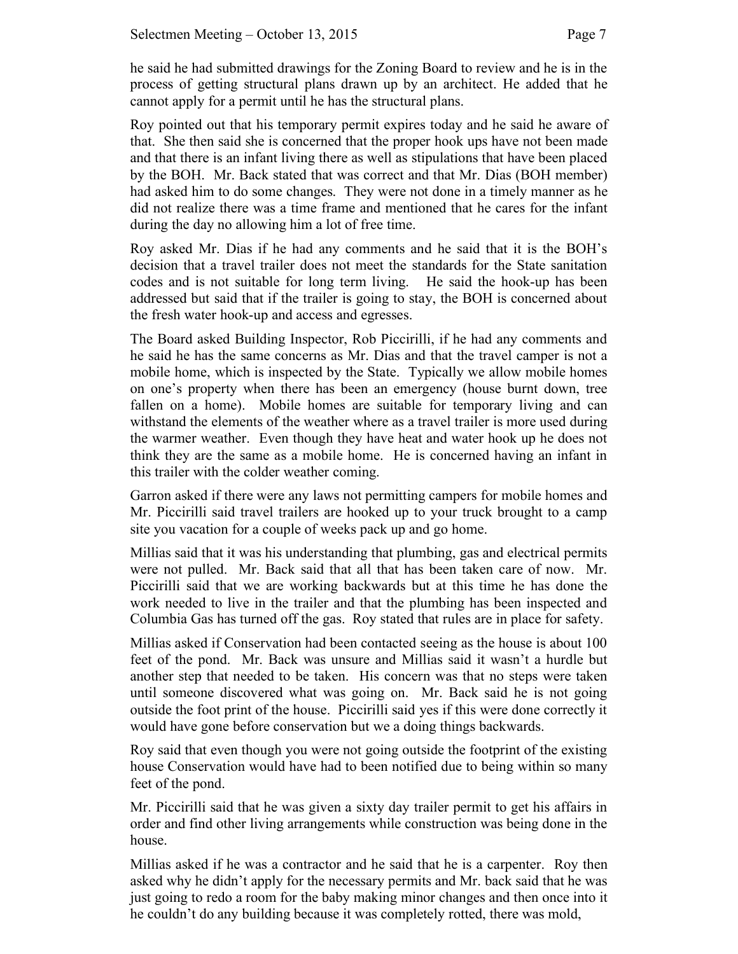he said he had submitted drawings for the Zoning Board to review and he is in the process of getting structural plans drawn up by an architect. He added that he cannot apply for a permit until he has the structural plans.

Roy pointed out that his temporary permit expires today and he said he aware of that. She then said she is concerned that the proper hook ups have not been made and that there is an infant living there as well as stipulations that have been placed by the BOH. Mr. Back stated that was correct and that Mr. Dias (BOH member) had asked him to do some changes. They were not done in a timely manner as he did not realize there was a time frame and mentioned that he cares for the infant during the day no allowing him a lot of free time.

Roy asked Mr. Dias if he had any comments and he said that it is the BOH's decision that a travel trailer does not meet the standards for the State sanitation codes and is not suitable for long term living. He said the hook-up has been addressed but said that if the trailer is going to stay, the BOH is concerned about the fresh water hook-up and access and egresses.

The Board asked Building Inspector, Rob Piccirilli, if he had any comments and he said he has the same concerns as Mr. Dias and that the travel camper is not a mobile home, which is inspected by the State. Typically we allow mobile homes on one's property when there has been an emergency (house burnt down, tree fallen on a home). Mobile homes are suitable for temporary living and can withstand the elements of the weather where as a travel trailer is more used during the warmer weather. Even though they have heat and water hook up he does not think they are the same as a mobile home. He is concerned having an infant in this trailer with the colder weather coming.

Garron asked if there were any laws not permitting campers for mobile homes and Mr. Piccirilli said travel trailers are hooked up to your truck brought to a camp site you vacation for a couple of weeks pack up and go home.

Millias said that it was his understanding that plumbing, gas and electrical permits were not pulled. Mr. Back said that all that has been taken care of now. Mr. Piccirilli said that we are working backwards but at this time he has done the work needed to live in the trailer and that the plumbing has been inspected and Columbia Gas has turned off the gas. Roy stated that rules are in place for safety.

Millias asked if Conservation had been contacted seeing as the house is about 100 feet of the pond. Mr. Back was unsure and Millias said it wasn't a hurdle but another step that needed to be taken. His concern was that no steps were taken until someone discovered what was going on. Mr. Back said he is not going outside the foot print of the house. Piccirilli said yes if this were done correctly it would have gone before conservation but we a doing things backwards.

Roy said that even though you were not going outside the footprint of the existing house Conservation would have had to been notified due to being within so many feet of the pond.

Mr. Piccirilli said that he was given a sixty day trailer permit to get his affairs in order and find other living arrangements while construction was being done in the house.

Millias asked if he was a contractor and he said that he is a carpenter. Roy then asked why he didn't apply for the necessary permits and Mr. back said that he was just going to redo a room for the baby making minor changes and then once into it he couldn't do any building because it was completely rotted, there was mold,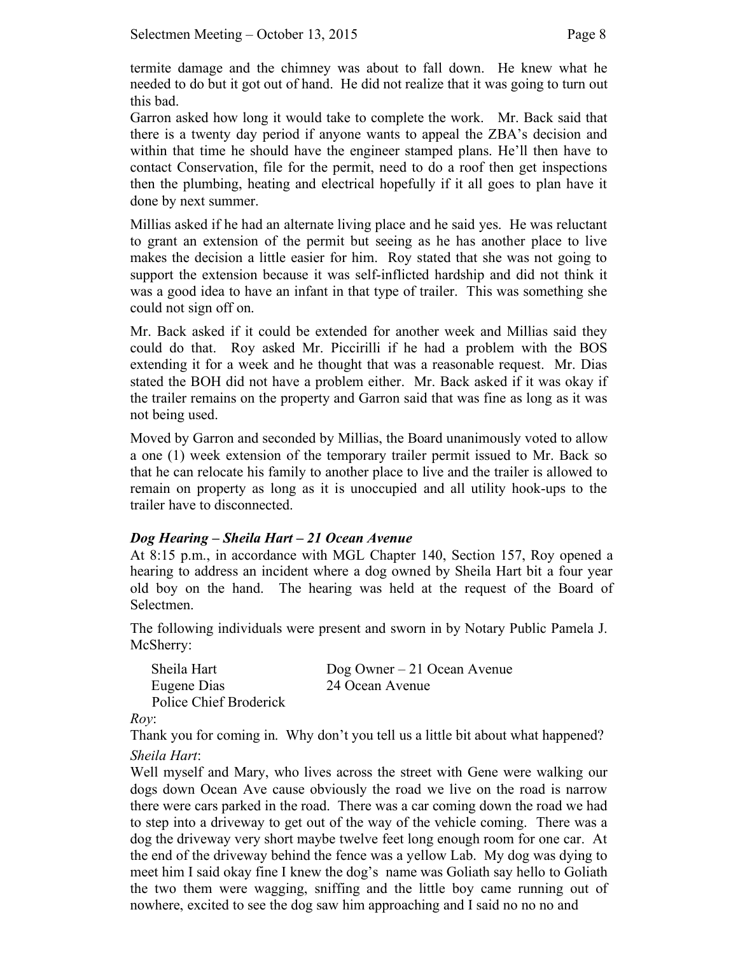termite damage and the chimney was about to fall down. He knew what he needed to do but it got out of hand. He did not realize that it was going to turn out this bad.

Garron asked how long it would take to complete the work. Mr. Back said that there is a twenty day period if anyone wants to appeal the ZBA's decision and within that time he should have the engineer stamped plans. He'll then have to contact Conservation, file for the permit, need to do a roof then get inspections then the plumbing, heating and electrical hopefully if it all goes to plan have it done by next summer.

Millias asked if he had an alternate living place and he said yes. He was reluctant to grant an extension of the permit but seeing as he has another place to live makes the decision a little easier for him. Roy stated that she was not going to support the extension because it was self-inflicted hardship and did not think it was a good idea to have an infant in that type of trailer. This was something she could not sign off on.

Mr. Back asked if it could be extended for another week and Millias said they could do that. Roy asked Mr. Piccirilli if he had a problem with the BOS extending it for a week and he thought that was a reasonable request. Mr. Dias stated the BOH did not have a problem either. Mr. Back asked if it was okay if the trailer remains on the property and Garron said that was fine as long as it was not being used.

Moved by Garron and seconded by Millias, the Board unanimously voted to allow a one (1) week extension of the temporary trailer permit issued to Mr. Back so that he can relocate his family to another place to live and the trailer is allowed to remain on property as long as it is unoccupied and all utility hook-ups to the trailer have to disconnected.

# *Dog Hearing – Sheila Hart – 21 Ocean Avenue*

At 8:15 p.m., in accordance with MGL Chapter 140, Section 157, Roy opened a hearing to address an incident where a dog owned by Sheila Hart bit a four year old boy on the hand. The hearing was held at the request of the Board of Selectmen.

The following individuals were present and sworn in by Notary Public Pamela J. McSherry:

| Sheila Hart            | $\log$ Owner – 21 Ocean Avenue |
|------------------------|--------------------------------|
| Eugene Dias            | 24 Ocean Avenue                |
| Police Chief Broderick |                                |

*Roy*:

Thank you for coming in. Why don't you tell us a little bit about what happened? *Sheila Hart*:

Well myself and Mary, who lives across the street with Gene were walking our dogs down Ocean Ave cause obviously the road we live on the road is narrow there were cars parked in the road. There was a car coming down the road we had to step into a driveway to get out of the way of the vehicle coming. There was a dog the driveway very short maybe twelve feet long enough room for one car. At the end of the driveway behind the fence was a yellow Lab. My dog was dying to meet him I said okay fine I knew the dog's name was Goliath say hello to Goliath the two them were wagging, sniffing and the little boy came running out of nowhere, excited to see the dog saw him approaching and I said no no no and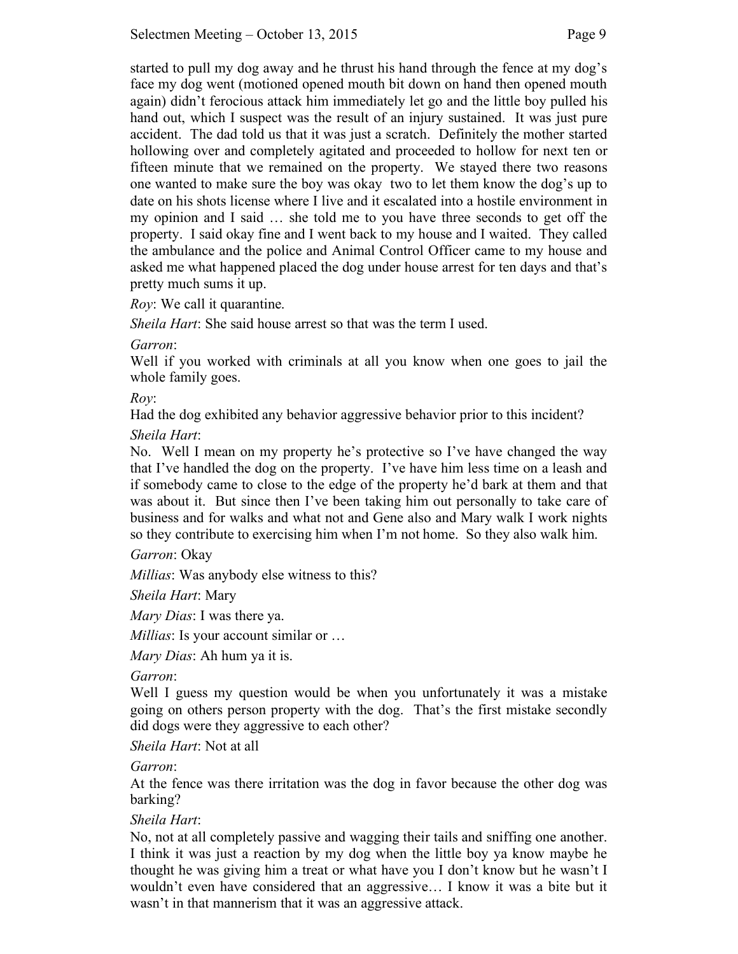started to pull my dog away and he thrust his hand through the fence at my dog's face my dog went (motioned opened mouth bit down on hand then opened mouth again) didn't ferocious attack him immediately let go and the little boy pulled his hand out, which I suspect was the result of an injury sustained. It was just pure accident. The dad told us that it was just a scratch. Definitely the mother started hollowing over and completely agitated and proceeded to hollow for next ten or fifteen minute that we remained on the property. We stayed there two reasons one wanted to make sure the boy was okay two to let them know the dog's up to date on his shots license where I live and it escalated into a hostile environment in my opinion and I said … she told me to you have three seconds to get off the property. I said okay fine and I went back to my house and I waited. They called the ambulance and the police and Animal Control Officer came to my house and asked me what happened placed the dog under house arrest for ten days and that's pretty much sums it up.

*Roy*: We call it quarantine.

*Sheila Hart*: She said house arrest so that was the term I used.

*Garron*:

Well if you worked with criminals at all you know when one goes to jail the whole family goes.

*Roy*:

Had the dog exhibited any behavior aggressive behavior prior to this incident?

## *Sheila Hart*:

No. Well I mean on my property he's protective so I've have changed the way that I've handled the dog on the property. I've have him less time on a leash and if somebody came to close to the edge of the property he'd bark at them and that was about it. But since then I've been taking him out personally to take care of business and for walks and what not and Gene also and Mary walk I work nights so they contribute to exercising him when I'm not home. So they also walk him.

*Garron*: Okay

*Millias*: Was anybody else witness to this?

*Sheila Hart*: Mary

*Mary Dias*: I was there ya.

*Millias*: Is your account similar or …

*Mary Dias*: Ah hum ya it is.

*Garron*:

Well I guess my question would be when you unfortunately it was a mistake going on others person property with the dog. That's the first mistake secondly did dogs were they aggressive to each other?

*Sheila Hart*: Not at all

*Garron*:

At the fence was there irritation was the dog in favor because the other dog was barking?

# *Sheila Hart*:

No, not at all completely passive and wagging their tails and sniffing one another. I think it was just a reaction by my dog when the little boy ya know maybe he thought he was giving him a treat or what have you I don't know but he wasn't I wouldn't even have considered that an aggressive… I know it was a bite but it wasn't in that mannerism that it was an aggressive attack.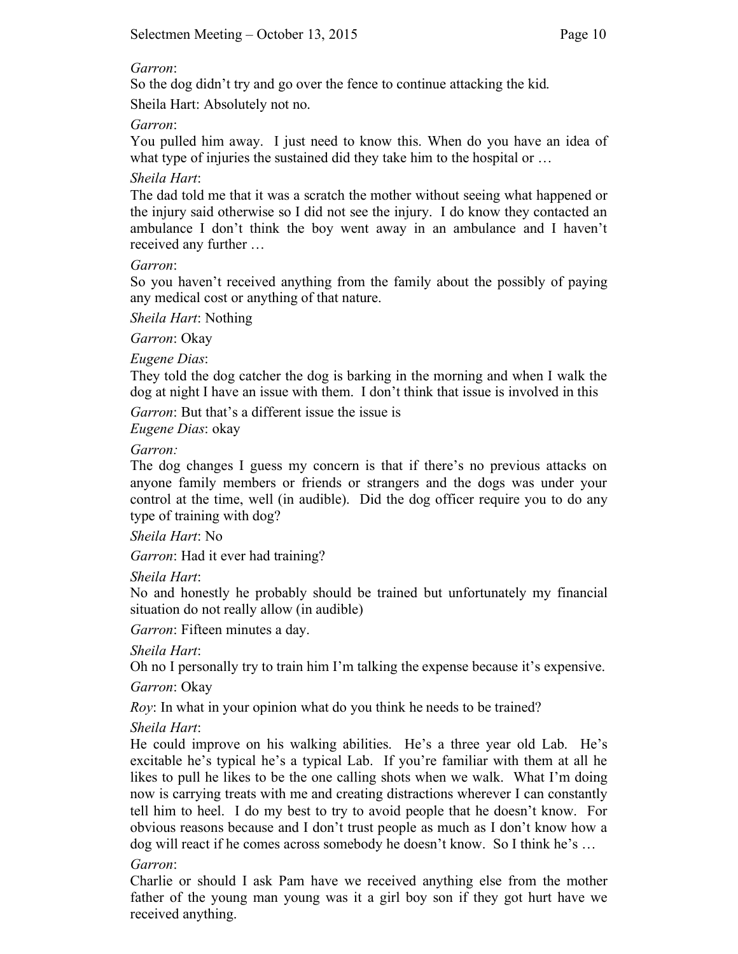### *Garron*:

So the dog didn't try and go over the fence to continue attacking the kid.

Sheila Hart: Absolutely not no.

*Garron*:

You pulled him away. I just need to know this. When do you have an idea of what type of injuries the sustained did they take him to the hospital or ...

*Sheila Hart*:

The dad told me that it was a scratch the mother without seeing what happened or the injury said otherwise so I did not see the injury. I do know they contacted an ambulance I don't think the boy went away in an ambulance and I haven't received any further …

*Garron*:

So you haven't received anything from the family about the possibly of paying any medical cost or anything of that nature.

*Sheila Hart*: Nothing

*Garron*: Okay

*Eugene Dias*:

They told the dog catcher the dog is barking in the morning and when I walk the dog at night I have an issue with them. I don't think that issue is involved in this

*Garron*: But that's a different issue the issue is *Eugene Dias*: okay

*Garron:*

The dog changes I guess my concern is that if there's no previous attacks on anyone family members or friends or strangers and the dogs was under your control at the time, well (in audible). Did the dog officer require you to do any type of training with dog?

*Sheila Hart*: No

*Garron*: Had it ever had training?

*Sheila Hart*:

No and honestly he probably should be trained but unfortunately my financial situation do not really allow (in audible)

*Garron*: Fifteen minutes a day.

*Sheila Hart*:

Oh no I personally try to train him I'm talking the expense because it's expensive.

*Garron*: Okay

*Roy*: In what in your opinion what do you think he needs to be trained?

*Sheila Hart*:

He could improve on his walking abilities. He's a three year old Lab. He's excitable he's typical he's a typical Lab. If you're familiar with them at all he likes to pull he likes to be the one calling shots when we walk. What I'm doing now is carrying treats with me and creating distractions wherever I can constantly tell him to heel. I do my best to try to avoid people that he doesn't know. For obvious reasons because and I don't trust people as much as I don't know how a dog will react if he comes across somebody he doesn't know. So I think he's …

# *Garron*:

Charlie or should I ask Pam have we received anything else from the mother father of the young man young was it a girl boy son if they got hurt have we received anything.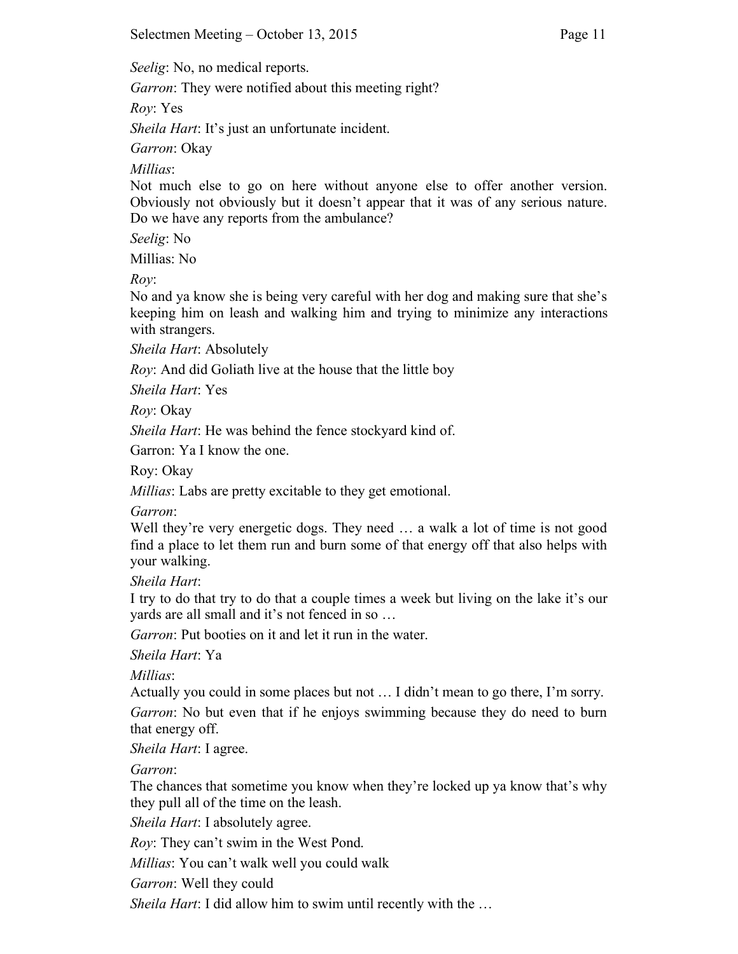*Seelig*: No, no medical reports.

*Garron*: They were notified about this meeting right?

*Roy*: Yes

*Sheila Hart*: It's just an unfortunate incident.

*Garron*: Okay

*Millias*:

Not much else to go on here without anyone else to offer another version. Obviously not obviously but it doesn't appear that it was of any serious nature. Do we have any reports from the ambulance?

*Seelig*: No

Millias: No

*Roy*:

No and ya know she is being very careful with her dog and making sure that she's keeping him on leash and walking him and trying to minimize any interactions with strangers.

*Sheila Hart*: Absolutely

*Roy*: And did Goliath live at the house that the little boy

*Sheila Hart*: Yes

*Roy*: Okay

*Sheila Hart*: He was behind the fence stockyard kind of.

Garron: Ya I know the one.

Roy: Okay

*Millias*: Labs are pretty excitable to they get emotional.

### *Garron*:

Well they're very energetic dogs. They need ... a walk a lot of time is not good find a place to let them run and burn some of that energy off that also helps with your walking.

*Sheila Hart*:

I try to do that try to do that a couple times a week but living on the lake it's our yards are all small and it's not fenced in so …

*Garron*: Put booties on it and let it run in the water.

*Sheila Hart*: Ya

*Millias*:

Actually you could in some places but not … I didn't mean to go there, I'm sorry.

*Garron*: No but even that if he enjoys swimming because they do need to burn that energy off.

*Sheila Hart*: I agree.

*Garron*:

The chances that sometime you know when they're locked up ya know that's why they pull all of the time on the leash.

*Sheila Hart*: I absolutely agree.

*Roy*: They can't swim in the West Pond.

*Millias*: You can't walk well you could walk

*Garron*: Well they could

*Sheila Hart*: I did allow him to swim until recently with the …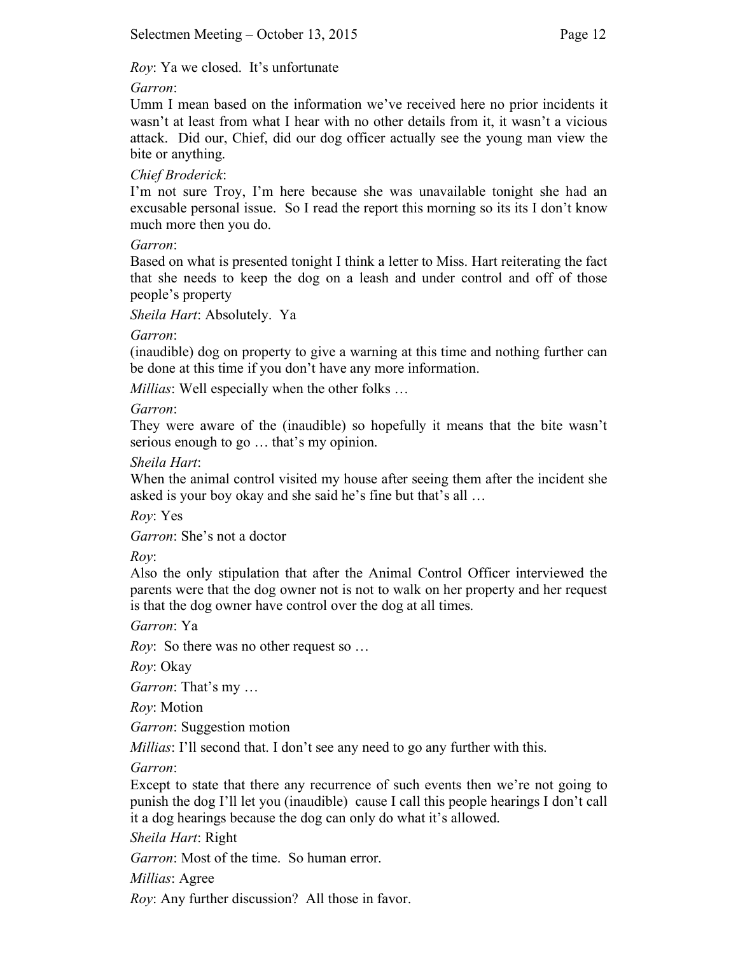## *Roy*: Ya we closed. It's unfortunate

## *Garron*:

Umm I mean based on the information we've received here no prior incidents it wasn't at least from what I hear with no other details from it, it wasn't a vicious attack. Did our, Chief, did our dog officer actually see the young man view the bite or anything.

## *Chief Broderick*:

I'm not sure Troy, I'm here because she was unavailable tonight she had an excusable personal issue. So I read the report this morning so its its I don't know much more then you do.

### *Garron*:

Based on what is presented tonight I think a letter to Miss. Hart reiterating the fact that she needs to keep the dog on a leash and under control and off of those people's property

*Sheila Hart*: Absolutely. Ya

*Garron*:

(inaudible) dog on property to give a warning at this time and nothing further can be done at this time if you don't have any more information.

*Millias*: Well especially when the other folks …

## *Garron*:

They were aware of the (inaudible) so hopefully it means that the bite wasn't serious enough to go … that's my opinion.

## *Sheila Hart*:

When the animal control visited my house after seeing them after the incident she asked is your boy okay and she said he's fine but that's all …

*Roy*: Yes

*Garron*: She's not a doctor

*Roy*:

Also the only stipulation that after the Animal Control Officer interviewed the parents were that the dog owner not is not to walk on her property and her request is that the dog owner have control over the dog at all times.

*Garron*: Ya

*Roy*: So there was no other request so …

*Roy*: Okay

*Garron*: That's my …

*Roy*: Motion

*Garron*: Suggestion motion

*Millias*: I'll second that. I don't see any need to go any further with this.

*Garron*:

Except to state that there any recurrence of such events then we're not going to punish the dog I'll let you (inaudible) cause I call this people hearings I don't call it a dog hearings because the dog can only do what it's allowed.

*Sheila Hart*: Right

*Garron*: Most of the time. So human error.

*Millias*: Agree

*Roy*: Any further discussion? All those in favor.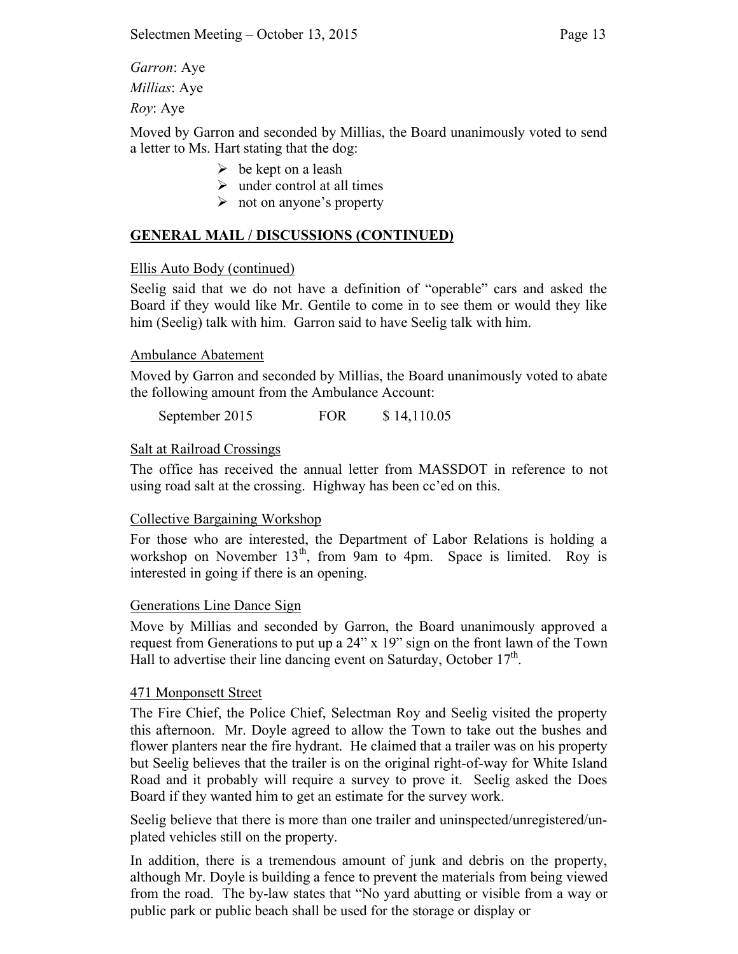*Garron*: Aye *Millias*: Aye

*Roy*: Aye

Moved by Garron and seconded by Millias, the Board unanimously voted to send a letter to Ms. Hart stating that the dog:

- $\triangleright$  be kept on a leash
- $\triangleright$  under control at all times
- $\triangleright$  not on anyone's property

# **GENERAL MAIL / DISCUSSIONS (CONTINUED)**

## Ellis Auto Body (continued)

Seelig said that we do not have a definition of "operable" cars and asked the Board if they would like Mr. Gentile to come in to see them or would they like him (Seelig) talk with him. Garron said to have Seelig talk with him.

## Ambulance Abatement

Moved by Garron and seconded by Millias, the Board unanimously voted to abate the following amount from the Ambulance Account:

September 2015 FOR \$ 14,110.05

## Salt at Railroad Crossings

The office has received the annual letter from MASSDOT in reference to not using road salt at the crossing. Highway has been cc'ed on this.

# Collective Bargaining Workshop

For those who are interested, the Department of Labor Relations is holding a workshop on November  $13<sup>th</sup>$ , from 9am to 4pm. Space is limited. Roy is interested in going if there is an opening.

### Generations Line Dance Sign

Move by Millias and seconded by Garron, the Board unanimously approved a request from Generations to put up a 24" x 19" sign on the front lawn of the Town Hall to advertise their line dancing event on Saturday, October  $17<sup>th</sup>$ .

### 471 Monponsett Street

The Fire Chief, the Police Chief, Selectman Roy and Seelig visited the property this afternoon. Mr. Doyle agreed to allow the Town to take out the bushes and flower planters near the fire hydrant. He claimed that a trailer was on his property but Seelig believes that the trailer is on the original right-of-way for White Island Road and it probably will require a survey to prove it. Seelig asked the Does Board if they wanted him to get an estimate for the survey work.

Seelig believe that there is more than one trailer and uninspected/unregistered/unplated vehicles still on the property.

In addition, there is a tremendous amount of junk and debris on the property, although Mr. Doyle is building a fence to prevent the materials from being viewed from the road. The by-law states that "No yard abutting or visible from a way or public park or public beach shall be used for the storage or display or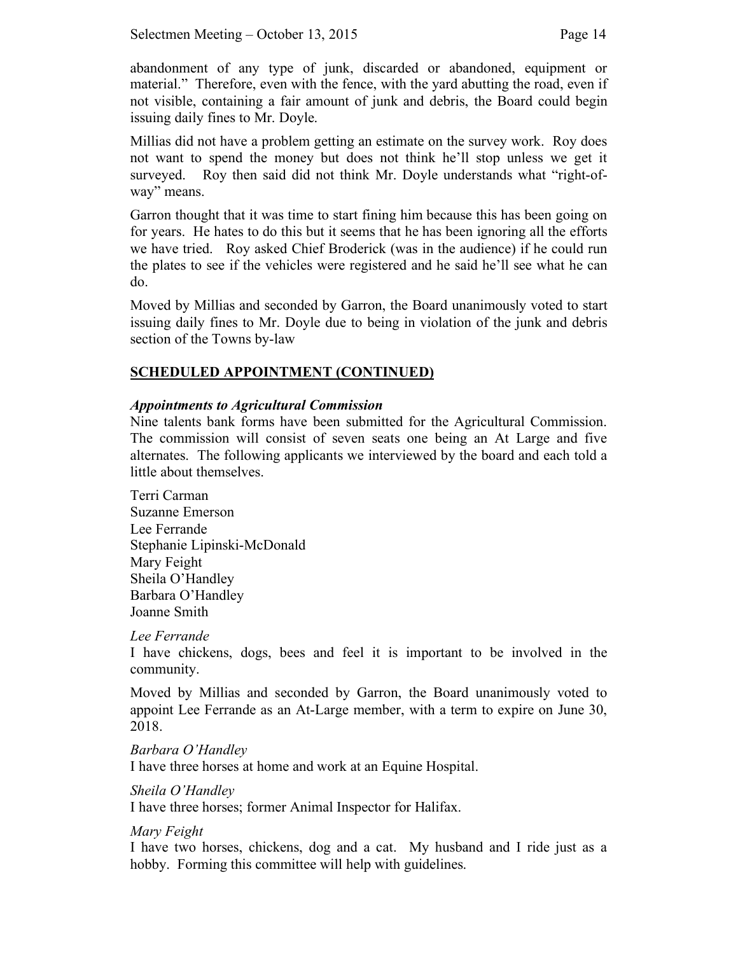abandonment of any type of junk, discarded or abandoned, equipment or material." Therefore, even with the fence, with the yard abutting the road, even if not visible, containing a fair amount of junk and debris, the Board could begin issuing daily fines to Mr. Doyle.

Millias did not have a problem getting an estimate on the survey work. Roy does not want to spend the money but does not think he'll stop unless we get it surveyed. Roy then said did not think Mr. Doyle understands what "right-ofway" means.

Garron thought that it was time to start fining him because this has been going on for years. He hates to do this but it seems that he has been ignoring all the efforts we have tried. Roy asked Chief Broderick (was in the audience) if he could run the plates to see if the vehicles were registered and he said he'll see what he can do.

Moved by Millias and seconded by Garron, the Board unanimously voted to start issuing daily fines to Mr. Doyle due to being in violation of the junk and debris section of the Towns by-law

# **SCHEDULED APPOINTMENT (CONTINUED)**

## *Appointments to Agricultural Commission*

Nine talents bank forms have been submitted for the Agricultural Commission. The commission will consist of seven seats one being an At Large and five alternates. The following applicants we interviewed by the board and each told a little about themselves.

Terri Carman Suzanne Emerson Lee Ferrande Stephanie Lipinski-McDonald Mary Feight Sheila O'Handley Barbara O'Handley Joanne Smith

### *Lee Ferrande*

I have chickens, dogs, bees and feel it is important to be involved in the community.

Moved by Millias and seconded by Garron, the Board unanimously voted to appoint Lee Ferrande as an At-Large member, with a term to expire on June 30, 2018.

### *Barbara O'Handley*

I have three horses at home and work at an Equine Hospital.

### *Sheila O'Handley*

I have three horses; former Animal Inspector for Halifax.

# *Mary Feight*

I have two horses, chickens, dog and a cat. My husband and I ride just as a hobby. Forming this committee will help with guidelines.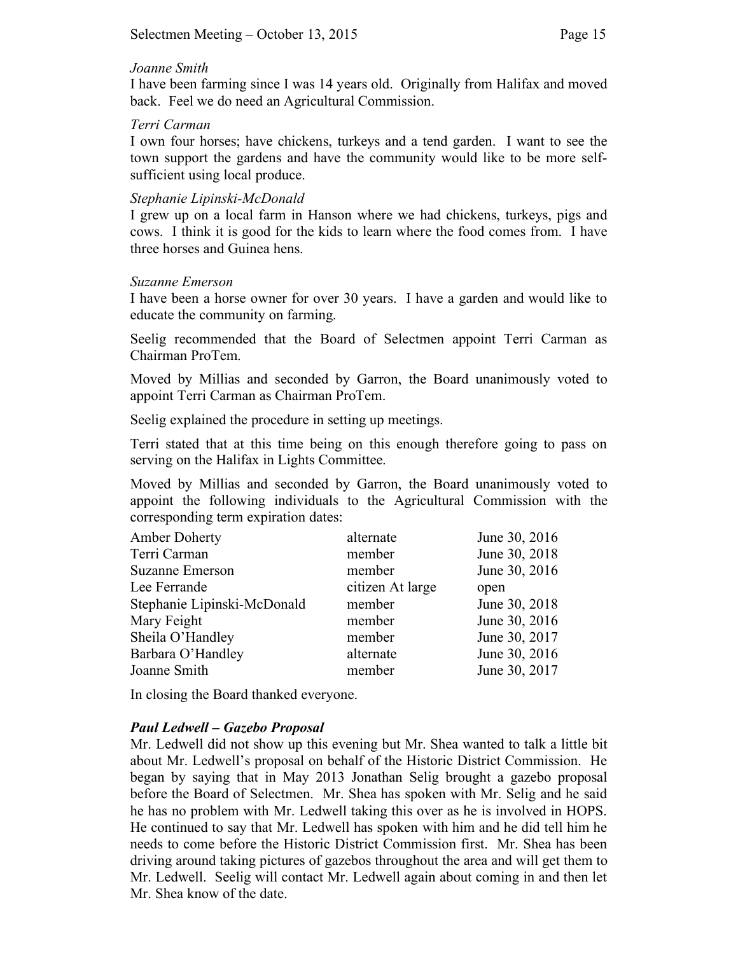#### *Joanne Smith*

I have been farming since I was 14 years old. Originally from Halifax and moved back. Feel we do need an Agricultural Commission.

### *Terri Carman*

I own four horses; have chickens, turkeys and a tend garden. I want to see the town support the gardens and have the community would like to be more selfsufficient using local produce.

#### *Stephanie Lipinski-McDonald*

I grew up on a local farm in Hanson where we had chickens, turkeys, pigs and cows. I think it is good for the kids to learn where the food comes from. I have three horses and Guinea hens.

### *Suzanne Emerson*

I have been a horse owner for over 30 years. I have a garden and would like to educate the community on farming.

Seelig recommended that the Board of Selectmen appoint Terri Carman as Chairman ProTem.

Moved by Millias and seconded by Garron, the Board unanimously voted to appoint Terri Carman as Chairman ProTem.

Seelig explained the procedure in setting up meetings.

Terri stated that at this time being on this enough therefore going to pass on serving on the Halifax in Lights Committee.

Moved by Millias and seconded by Garron, the Board unanimously voted to appoint the following individuals to the Agricultural Commission with the corresponding term expiration dates:

| Amber Doherty               | alternate        | June 30, 2016 |
|-----------------------------|------------------|---------------|
| Terri Carman                | member           | June 30, 2018 |
| <b>Suzanne Emerson</b>      | member           | June 30, 2016 |
| Lee Ferrande                | citizen At large | open          |
| Stephanie Lipinski-McDonald | member           | June 30, 2018 |
| Mary Feight                 | member           | June 30, 2016 |
| Sheila O'Handley            | member           | June 30, 2017 |
| Barbara O'Handley           | alternate        | June 30, 2016 |
| Joanne Smith                | member           | June 30, 2017 |

In closing the Board thanked everyone.

### *Paul Ledwell – Gazebo Proposal*

Mr. Ledwell did not show up this evening but Mr. Shea wanted to talk a little bit about Mr. Ledwell's proposal on behalf of the Historic District Commission. He began by saying that in May 2013 Jonathan Selig brought a gazebo proposal before the Board of Selectmen. Mr. Shea has spoken with Mr. Selig and he said he has no problem with Mr. Ledwell taking this over as he is involved in HOPS. He continued to say that Mr. Ledwell has spoken with him and he did tell him he needs to come before the Historic District Commission first. Mr. Shea has been driving around taking pictures of gazebos throughout the area and will get them to Mr. Ledwell. Seelig will contact Mr. Ledwell again about coming in and then let Mr. Shea know of the date.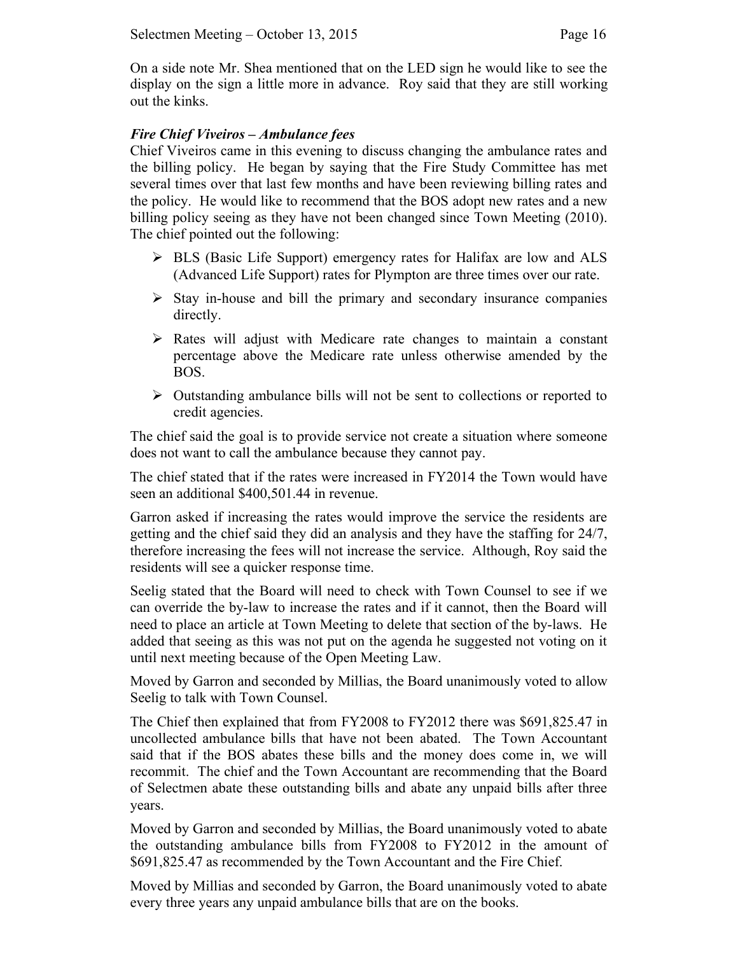On a side note Mr. Shea mentioned that on the LED sign he would like to see the display on the sign a little more in advance. Roy said that they are still working out the kinks.

## *Fire Chief Viveiros – Ambulance fees*

Chief Viveiros came in this evening to discuss changing the ambulance rates and the billing policy. He began by saying that the Fire Study Committee has met several times over that last few months and have been reviewing billing rates and the policy. He would like to recommend that the BOS adopt new rates and a new billing policy seeing as they have not been changed since Town Meeting (2010). The chief pointed out the following:

- $\triangleright$  BLS (Basic Life Support) emergency rates for Halifax are low and ALS (Advanced Life Support) rates for Plympton are three times over our rate.
- $\triangleright$  Stay in-house and bill the primary and secondary insurance companies directly.
- $\triangleright$  Rates will adjust with Medicare rate changes to maintain a constant percentage above the Medicare rate unless otherwise amended by the BOS.
- $\triangleright$  Outstanding ambulance bills will not be sent to collections or reported to credit agencies.

The chief said the goal is to provide service not create a situation where someone does not want to call the ambulance because they cannot pay.

The chief stated that if the rates were increased in FY2014 the Town would have seen an additional \$400,501.44 in revenue.

Garron asked if increasing the rates would improve the service the residents are getting and the chief said they did an analysis and they have the staffing for 24/7, therefore increasing the fees will not increase the service. Although, Roy said the residents will see a quicker response time.

Seelig stated that the Board will need to check with Town Counsel to see if we can override the by-law to increase the rates and if it cannot, then the Board will need to place an article at Town Meeting to delete that section of the by-laws. He added that seeing as this was not put on the agenda he suggested not voting on it until next meeting because of the Open Meeting Law.

Moved by Garron and seconded by Millias, the Board unanimously voted to allow Seelig to talk with Town Counsel.

The Chief then explained that from FY2008 to FY2012 there was \$691,825.47 in uncollected ambulance bills that have not been abated. The Town Accountant said that if the BOS abates these bills and the money does come in, we will recommit. The chief and the Town Accountant are recommending that the Board of Selectmen abate these outstanding bills and abate any unpaid bills after three years.

Moved by Garron and seconded by Millias, the Board unanimously voted to abate the outstanding ambulance bills from FY2008 to FY2012 in the amount of \$691,825.47 as recommended by the Town Accountant and the Fire Chief.

Moved by Millias and seconded by Garron, the Board unanimously voted to abate every three years any unpaid ambulance bills that are on the books.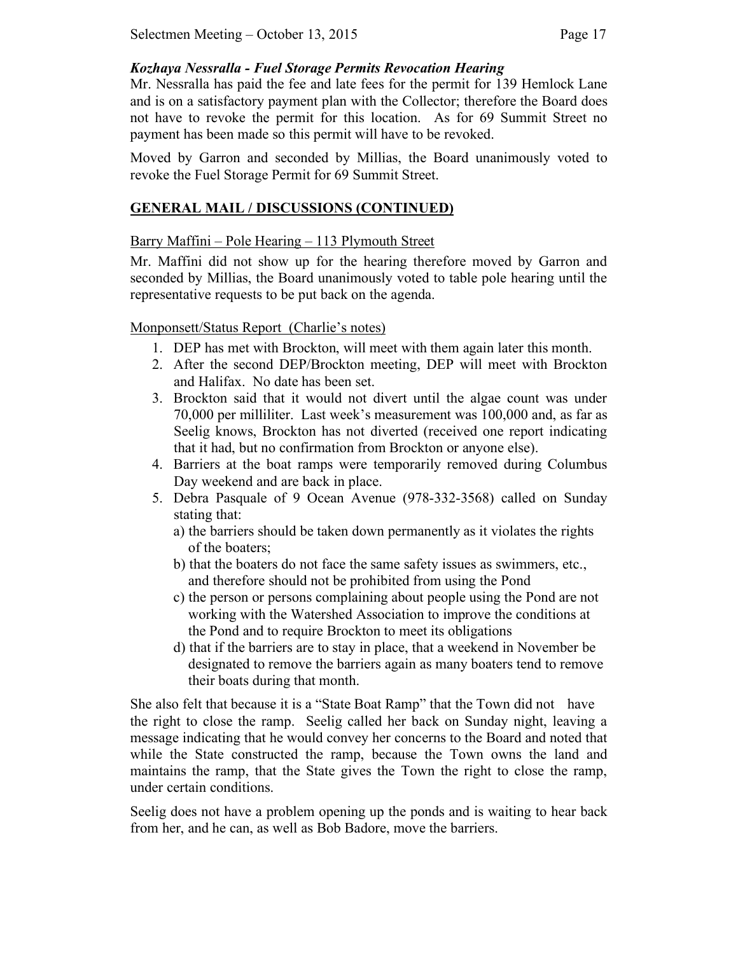### *Kozhaya Nessralla - Fuel Storage Permits Revocation Hearing*

Mr. Nessralla has paid the fee and late fees for the permit for 139 Hemlock Lane and is on a satisfactory payment plan with the Collector; therefore the Board does not have to revoke the permit for this location. As for 69 Summit Street no payment has been made so this permit will have to be revoked.

Moved by Garron and seconded by Millias, the Board unanimously voted to revoke the Fuel Storage Permit for 69 Summit Street.

# **GENERAL MAIL / DISCUSSIONS (CONTINUED)**

# Barry Maffini – Pole Hearing – 113 Plymouth Street

Mr. Maffini did not show up for the hearing therefore moved by Garron and seconded by Millias, the Board unanimously voted to table pole hearing until the representative requests to be put back on the agenda.

## Monponsett/Status Report (Charlie's notes)

- 1. DEP has met with Brockton, will meet with them again later this month.
- 2. After the second DEP/Brockton meeting, DEP will meet with Brockton and Halifax. No date has been set.
- 3. Brockton said that it would not divert until the algae count was under 70,000 per milliliter. Last week's measurement was 100,000 and, as far as Seelig knows, Brockton has not diverted (received one report indicating that it had, but no confirmation from Brockton or anyone else).
- 4. Barriers at the boat ramps were temporarily removed during Columbus Day weekend and are back in place.
- 5. Debra Pasquale of 9 Ocean Avenue (978-332-3568) called on Sunday stating that:
	- a) the barriers should be taken down permanently as it violates the rights of the boaters;
	- b) that the boaters do not face the same safety issues as swimmers, etc., and therefore should not be prohibited from using the Pond
	- c) the person or persons complaining about people using the Pond are not working with the Watershed Association to improve the conditions at the Pond and to require Brockton to meet its obligations
	- d) that if the barriers are to stay in place, that a weekend in November be designated to remove the barriers again as many boaters tend to remove their boats during that month.

She also felt that because it is a "State Boat Ramp" that the Town did not have the right to close the ramp. Seelig called her back on Sunday night, leaving a message indicating that he would convey her concerns to the Board and noted that while the State constructed the ramp, because the Town owns the land and maintains the ramp, that the State gives the Town the right to close the ramp, under certain conditions.

Seelig does not have a problem opening up the ponds and is waiting to hear back from her, and he can, as well as Bob Badore, move the barriers.